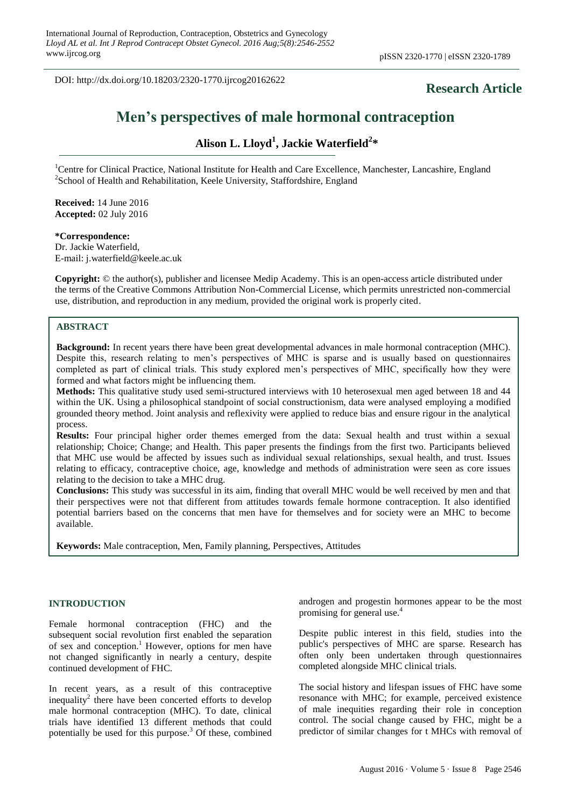DOI: http://dx.doi.org/10.18203/2320-1770.ijrcog20162622

# **Research Article**

# **Men's perspectives of male hormonal contraception**

# **Alison L. Lloyd<sup>1</sup> , Jackie Waterfield<sup>2</sup> \***

<sup>1</sup>Centre for Clinical Practice, National Institute for Health and Care Excellence, Manchester, Lancashire, England <sup>2</sup>School of Health and Rehabilitation, Keele University, Staffordshire, England

**Received:** 14 June 2016 **Accepted:** 02 July 2016

#### **\*Correspondence:** Dr. Jackie Waterfield,

E-mail: j.waterfield@keele.ac.uk

**Copyright:** © the author(s), publisher and licensee Medip Academy. This is an open-access article distributed under the terms of the Creative Commons Attribution Non-Commercial License, which permits unrestricted non-commercial use, distribution, and reproduction in any medium, provided the original work is properly cited.

# **ABSTRACT**

**Background:** In recent years there have been great developmental advances in male hormonal contraception (MHC). Despite this, research relating to men"s perspectives of MHC is sparse and is usually based on questionnaires completed as part of clinical trials. This study explored men"s perspectives of MHC, specifically how they were formed and what factors might be influencing them.

**Methods:** This qualitative study used semi-structured interviews with 10 heterosexual men aged between 18 and 44 within the UK. Using a philosophical standpoint of social constructionism, data were analysed employing a modified grounded theory method. Joint analysis and reflexivity were applied to reduce bias and ensure rigour in the analytical process.

**Results:** Four principal higher order themes emerged from the data: Sexual health and trust within a sexual relationship; Choice; Change; and Health. This paper presents the findings from the first two. Participants believed that MHC use would be affected by issues such as individual sexual relationships, sexual health, and trust. Issues relating to efficacy, contraceptive choice, age, knowledge and methods of administration were seen as core issues relating to the decision to take a MHC drug.

**Conclusions:** This study was successful in its aim, finding that overall MHC would be well received by men and that their perspectives were not that different from attitudes towards female hormone contraception. It also identified potential barriers based on the concerns that men have for themselves and for society were an MHC to become available.

**Keywords:** Male contraception, Men, Family planning, Perspectives, Attitudes

# **INTRODUCTION**

Female hormonal contraception (FHC) and the subsequent social revolution first enabled the separation of sex and conception.<sup>1</sup> However, options for men have not changed significantly in nearly a century, despite continued development of FHC.

In recent years, as a result of this contraceptive inequality<sup>2</sup> there have been concerted efforts to develop male hormonal contraception (MHC). To date, clinical trials have identified 13 different methods that could potentially be used for this purpose.<sup>3</sup> Of these, combined androgen and progestin hormones appear to be the most promising for general use.<sup>4</sup>

Despite public interest in this field, studies into the public's perspectives of MHC are sparse. Research has often only been undertaken through questionnaires completed alongside MHC clinical trials.

The social history and lifespan issues of FHC have some resonance with MHC; for example, perceived existence of male inequities regarding their role in conception control. The social change caused by FHC, might be a predictor of similar changes for t MHCs with removal of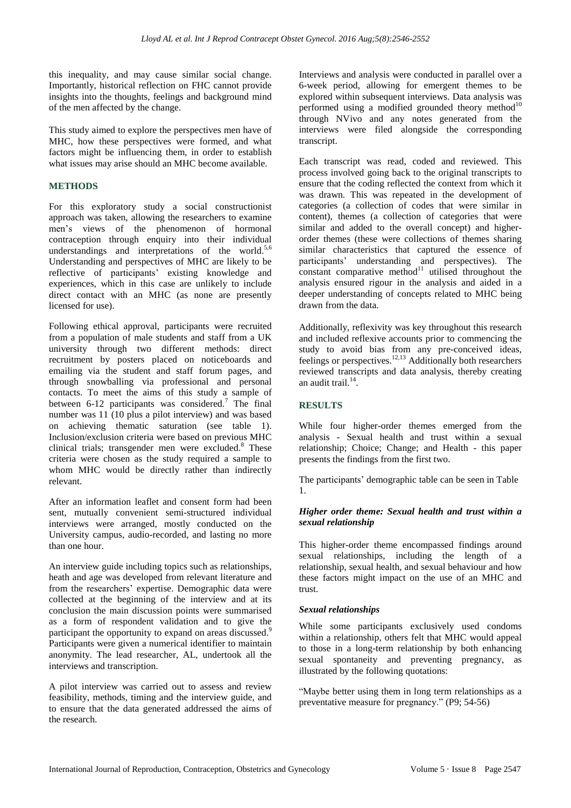this inequality, and may cause similar social change. Importantly, historical reflection on FHC cannot provide insights into the thoughts, feelings and background mind of the men affected by the change.

This study aimed to explore the perspectives men have of MHC, how these perspectives were formed, and what factors might be influencing them, in order to establish what issues may arise should an MHC become available.

## **METHODS**

For this exploratory study a social constructionist approach was taken, allowing the researchers to examine men"s views of the phenomenon of hormonal contraception through enquiry into their individual understandings and interpretations of the world.<sup>5,6</sup> Understanding and perspectives of MHC are likely to be reflective of participants' existing knowledge and experiences, which in this case are unlikely to include direct contact with an MHC (as none are presently licensed for use).

Following ethical approval, participants were recruited from a population of male students and staff from a UK university through two different methods: direct recruitment by posters placed on noticeboards and emailing via the student and staff forum pages, and through snowballing via professional and personal contacts. To meet the aims of this study a sample of between  $6-12$  participants was considered.<sup>7</sup> The final number was 11 (10 plus a pilot interview) and was based on achieving thematic saturation (see table 1). Inclusion/exclusion criteria were based on previous MHC clinical trials; transgender men were excluded. <sup>8</sup> These criteria were chosen as the study required a sample to whom MHC would be directly rather than indirectly relevant.

After an information leaflet and consent form had been sent, mutually convenient semi-structured individual interviews were arranged, mostly conducted on the University campus, audio-recorded, and lasting no more than one hour.

An interview guide including topics such as relationships, heath and age was developed from relevant literature and from the researchers' expertise. Demographic data were collected at the beginning of the interview and at its conclusion the main discussion points were summarised as a form of respondent validation and to give the participant the opportunity to expand on areas discussed.<sup>9</sup> Participants were given a numerical identifier to maintain anonymity. The lead researcher, AL, undertook all the interviews and transcription.

A pilot interview was carried out to assess and review feasibility, methods, timing and the interview guide, and to ensure that the data generated addressed the aims of the research.

Interviews and analysis were conducted in parallel over a 6-week period, allowing for emergent themes to be explored within subsequent interviews. Data analysis was performed using a modified grounded theory method $10$ through NVivo and any notes generated from the interviews were filed alongside the corresponding transcript.

Each transcript was read, coded and reviewed. This process involved going back to the original transcripts to ensure that the coding reflected the context from which it was drawn. This was repeated in the development of categories (a collection of codes that were similar in content), themes (a collection of categories that were similar and added to the overall concept) and higherorder themes (these were collections of themes sharing similar characteristics that captured the essence of participants" understanding and perspectives). The constant comparative method $^{11}$  utilised throughout the analysis ensured rigour in the analysis and aided in a deeper understanding of concepts related to MHC being drawn from the data.

Additionally, reflexivity was key throughout this research and included reflexive accounts prior to commencing the study to avoid bias from any pre-conceived ideas, feelings or perspectives.12,13 Additionally both researchers reviewed transcripts and data analysis, thereby creating an audit trail.<sup>14</sup>.

# **RESULTS**

While four higher-order themes emerged from the analysis - Sexual health and trust within a sexual relationship; Choice; Change; and Health - this paper presents the findings from the first two.

The participants' demographic table can be seen in Table 1.

# *Higher order theme: Sexual health and trust within a sexual relationship*

This higher-order theme encompassed findings around sexual relationships, including the length of a relationship, sexual health, and sexual behaviour and how these factors might impact on the use of an MHC and trust.

#### *Sexual relationships*

While some participants exclusively used condoms within a relationship, others felt that MHC would appeal to those in a long-term relationship by both enhancing sexual spontaneity and preventing pregnancy, as illustrated by the following quotations:

"Maybe better using them in long term relationships as a preventative measure for pregnancy." (P9; 54-56)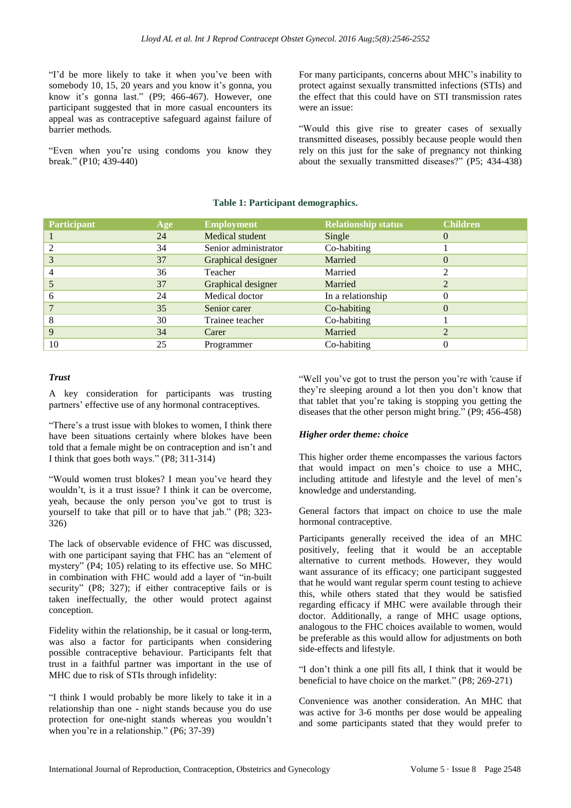"I'd be more likely to take it when you've been with somebody 10, 15, 20 years and you know it's gonna, you know it's gonna last." (P9; 466-467). However, one participant suggested that in more casual encounters its appeal was as contraceptive safeguard against failure of barrier methods.

"Even when you"re using condoms you know they break." (P10; 439-440)

For many participants, concerns about MHC"s inability to protect against sexually transmitted infections (STIs) and the effect that this could have on STI transmission rates were an issue:

"Would this give rise to greater cases of sexually transmitted diseases, possibly because people would then rely on this just for the sake of pregnancy not thinking about the sexually transmitted diseases?" (P5; 434-438)

# **Table 1: Participant demographics.**

| <b>Participant</b> | Age | <b>Employment</b>    | <b>Relationship status</b> | <b>Children</b>  |
|--------------------|-----|----------------------|----------------------------|------------------|
|                    | 24  | Medical student      | Single                     | $\left( \right)$ |
| $\mathfrak{D}$     | 34  | Senior administrator | Co-habiting                |                  |
| 3                  | 37  | Graphical designer   | Married                    | 0                |
| 4                  | 36  | Teacher              | Married                    | ↑                |
|                    | 37  | Graphical designer   | Married                    | ↑                |
| 6                  | 24  | Medical doctor       | In a relationship          | 0                |
|                    | 35  | Senior carer         | Co-habiting                | 0                |
| 8                  | 30  | Trainee teacher      | Co-habiting                |                  |
| 9                  | 34  | Carer                | Married                    | າ                |
| 10                 | 25  | Programmer           | Co-habiting                | $_{0}$           |

### *Trust*

A key consideration for participants was trusting partners" effective use of any hormonal contraceptives.

"There"s a trust issue with blokes to women, I think there have been situations certainly where blokes have been told that a female might be on contraception and isn"t and I think that goes both ways." (P8; 311-314)

"Would women trust blokes? I mean you"ve heard they wouldn't, is it a trust issue? I think it can be overcome, yeah, because the only person you"ve got to trust is yourself to take that pill or to have that jab." (P8; 323- 326)

The lack of observable evidence of FHC was discussed, with one participant saying that FHC has an "element of mystery" (P4; 105) relating to its effective use. So MHC in combination with FHC would add a layer of "in-built security" (P8; 327); if either contraceptive fails or is taken ineffectually, the other would protect against conception.

Fidelity within the relationship, be it casual or long-term, was also a factor for participants when considering possible contraceptive behaviour. Participants felt that trust in a faithful partner was important in the use of MHC due to risk of STIs through infidelity:

"I think I would probably be more likely to take it in a relationship than one - night stands because you do use protection for one-night stands whereas you wouldn"t when you're in a relationship." (P6; 37-39)

"Well you've got to trust the person you're with 'cause if they"re sleeping around a lot then you don"t know that that tablet that you"re taking is stopping you getting the diseases that the other person might bring." (P9; 456-458)

# *Higher order theme: choice*

This higher order theme encompasses the various factors that would impact on men"s choice to use a MHC, including attitude and lifestyle and the level of men"s knowledge and understanding.

General factors that impact on choice to use the male hormonal contraceptive.

Participants generally received the idea of an MHC positively, feeling that it would be an acceptable alternative to current methods. However, they would want assurance of its efficacy; one participant suggested that he would want regular sperm count testing to achieve this, while others stated that they would be satisfied regarding efficacy if MHC were available through their doctor. Additionally, a range of MHC usage options, analogous to the FHC choices available to women, would be preferable as this would allow for adjustments on both side-effects and lifestyle.

"I don"t think a one pill fits all, I think that it would be beneficial to have choice on the market." (P8; 269-271)

Convenience was another consideration. An MHC that was active for 3-6 months per dose would be appealing and some participants stated that they would prefer to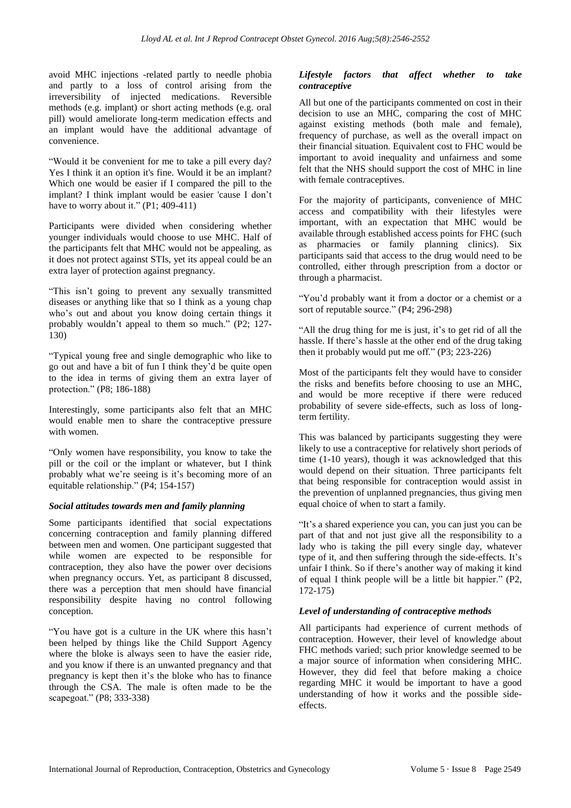avoid MHC injections -related partly to needle phobia and partly to a loss of control arising from the irreversibility of injected medications. Reversible methods (e.g. implant) or short acting methods (e.g. oral pill) would ameliorate long-term medication effects and an implant would have the additional advantage of convenience.

"Would it be convenient for me to take a pill every day? Yes I think it an option it's fine. Would it be an implant? Which one would be easier if I compared the pill to the implant? I think implant would be easier 'cause I don"t have to worry about it."  $(P1; 409-411)$ 

Participants were divided when considering whether younger individuals would choose to use MHC. Half of the participants felt that MHC would not be appealing, as it does not protect against STIs, yet its appeal could be an extra layer of protection against pregnancy.

"This isn"t going to prevent any sexually transmitted diseases or anything like that so I think as a young chap who"s out and about you know doing certain things it probably wouldn"t appeal to them so much." (P2; 127- 130)

"Typical young free and single demographic who like to go out and have a bit of fun I think they"d be quite open to the idea in terms of giving them an extra layer of protection." (P8; 186-188)

Interestingly, some participants also felt that an MHC would enable men to share the contraceptive pressure with women.

"Only women have responsibility, you know to take the pill or the coil or the implant or whatever, but I think probably what we're seeing is it's becoming more of an equitable relationship." (P4; 154-157)

#### *Social attitudes towards men and family planning*

Some participants identified that social expectations concerning contraception and family planning differed between men and women. One participant suggested that while women are expected to be responsible for contraception, they also have the power over decisions when pregnancy occurs. Yet, as participant 8 discussed, there was a perception that men should have financial responsibility despite having no control following conception.

"You have got is a culture in the UK where this hasn"t been helped by things like the Child Support Agency where the bloke is always seen to have the easier ride, and you know if there is an unwanted pregnancy and that pregnancy is kept then it's the bloke who has to finance through the CSA. The male is often made to be the scapegoat." (P8; 333-338)

# *Lifestyle factors that affect whether to take contraceptive*

All but one of the participants commented on cost in their decision to use an MHC, comparing the cost of MHC against existing methods (both male and female), frequency of purchase, as well as the overall impact on their financial situation. Equivalent cost to FHC would be important to avoid inequality and unfairness and some felt that the NHS should support the cost of MHC in line with female contraceptives.

For the majority of participants, convenience of MHC access and compatibility with their lifestyles were important, with an expectation that MHC would be available through established access points for FHC (such as pharmacies or family planning clinics). Six participants said that access to the drug would need to be controlled, either through prescription from a doctor or through a pharmacist.

"You"d probably want it from a doctor or a chemist or a sort of reputable source." (P4; 296-298)

"All the drug thing for me is just, it's to get rid of all the hassle. If there"s hassle at the other end of the drug taking then it probably would put me off." (P3; 223-226)

Most of the participants felt they would have to consider the risks and benefits before choosing to use an MHC, and would be more receptive if there were reduced probability of severe side-effects, such as loss of longterm fertility.

This was balanced by participants suggesting they were likely to use a contraceptive for relatively short periods of time (1-10 years), though it was acknowledged that this would depend on their situation. Three participants felt that being responsible for contraception would assist in the prevention of unplanned pregnancies, thus giving men equal choice of when to start a family.

"It"s a shared experience you can, you can just you can be part of that and not just give all the responsibility to a lady who is taking the pill every single day, whatever type of it, and then suffering through the side-effects. It's unfair I think. So if there"s another way of making it kind of equal I think people will be a little bit happier." (P2, 172-175)

# *Level of understanding of contraceptive methods*

All participants had experience of current methods of contraception. However, their level of knowledge about FHC methods varied; such prior knowledge seemed to be a major source of information when considering MHC. However, they did feel that before making a choice regarding MHC it would be important to have a good understanding of how it works and the possible sideeffects.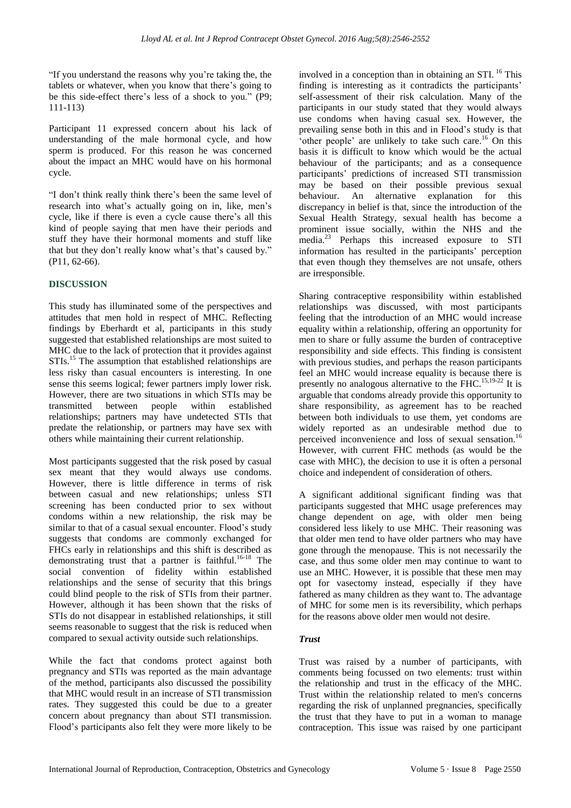"If you understand the reasons why you"re taking the, the tablets or whatever, when you know that there's going to be this side-effect there"s less of a shock to you." (P9; 111-113)

Participant 11 expressed concern about his lack of understanding of the male hormonal cycle, and how sperm is produced. For this reason he was concerned about the impact an MHC would have on his hormonal cycle.

"I don"t think really think there"s been the same level of research into what's actually going on in, like, men's cycle, like if there is even a cycle cause there"s all this kind of people saying that men have their periods and stuff they have their hormonal moments and stuff like that but they don't really know what's that's caused by." (P11, 62-66).

# **DISCUSSION**

This study has illuminated some of the perspectives and attitudes that men hold in respect of MHC. Reflecting findings by Eberhardt et al, participants in this study suggested that established relationships are most suited to MHC due to the lack of protection that it provides against STIs.<sup>15</sup> The assumption that established relationships are less risky than casual encounters is interesting. In one sense this seems logical; fewer partners imply lower risk. However, there are two situations in which STIs may be transmitted between people within established relationships; partners may have undetected STIs that predate the relationship, or partners may have sex with others while maintaining their current relationship.

Most participants suggested that the risk posed by casual sex meant that they would always use condoms. However, there is little difference in terms of risk between casual and new relationships; unless STI screening has been conducted prior to sex without condoms within a new relationship, the risk may be similar to that of a casual sexual encounter. Flood's study suggests that condoms are commonly exchanged for FHCs early in relationships and this shift is described as demonstrating trust that a partner is faithful.<sup>16-18</sup> The social convention of fidelity within established relationships and the sense of security that this brings could blind people to the risk of STIs from their partner. However, although it has been shown that the risks of STIs do not disappear in established relationships, it still seems reasonable to suggest that the risk is reduced when compared to sexual activity outside such relationships.

While the fact that condoms protect against both pregnancy and STIs was reported as the main advantage of the method, participants also discussed the possibility that MHC would result in an increase of STI transmission rates. They suggested this could be due to a greater concern about pregnancy than about STI transmission. Flood"s participants also felt they were more likely to be involved in a conception than in obtaining an STI. <sup>16</sup> This finding is interesting as it contradicts the participants' self-assessment of their risk calculation. Many of the participants in our study stated that they would always use condoms when having casual sex. However, the prevailing sense both in this and in Flood"s study is that 'other people' are unlikely to take such care.<sup>16</sup> On this basis it is difficult to know which would be the actual behaviour of the participants; and as a consequence participants" predictions of increased STI transmission may be based on their possible previous sexual behaviour. An alternative explanation for this discrepancy in belief is that, since the introduction of the Sexual Health Strategy, sexual health has become a prominent issue socially, within the NHS and the media.<sup>23</sup> Perhaps this increased exposure to STI information has resulted in the participants' perception that even though they themselves are not unsafe, others are irresponsible.

Sharing contraceptive responsibility within established relationships was discussed, with most participants feeling that the introduction of an MHC would increase equality within a relationship, offering an opportunity for men to share or fully assume the burden of contraceptive responsibility and side effects. This finding is consistent with previous studies, and perhaps the reason participants feel an MHC would increase equality is because there is presently no analogous alternative to the FHC.<sup>15,19-22</sup> It is arguable that condoms already provide this opportunity to share responsibility, as agreement has to be reached between both individuals to use them, yet condoms are widely reported as an undesirable method due to perceived inconvenience and loss of sexual sensation.<sup>16</sup> However, with current FHC methods (as would be the case with MHC), the decision to use it is often a personal choice and independent of consideration of others.

A significant additional significant finding was that participants suggested that MHC usage preferences may change dependent on age, with older men being considered less likely to use MHC. Their reasoning was that older men tend to have older partners who may have gone through the menopause. This is not necessarily the case, and thus some older men may continue to want to use an MHC. However, it is possible that these men may opt for vasectomy instead, especially if they have fathered as many children as they want to. The advantage of MHC for some men is its reversibility, which perhaps for the reasons above older men would not desire.

# *Trust*

Trust was raised by a number of participants, with comments being focussed on two elements: trust within the relationship and trust in the efficacy of the MHC. Trust within the relationship related to men's concerns regarding the risk of unplanned pregnancies, specifically the trust that they have to put in a woman to manage contraception. This issue was raised by one participant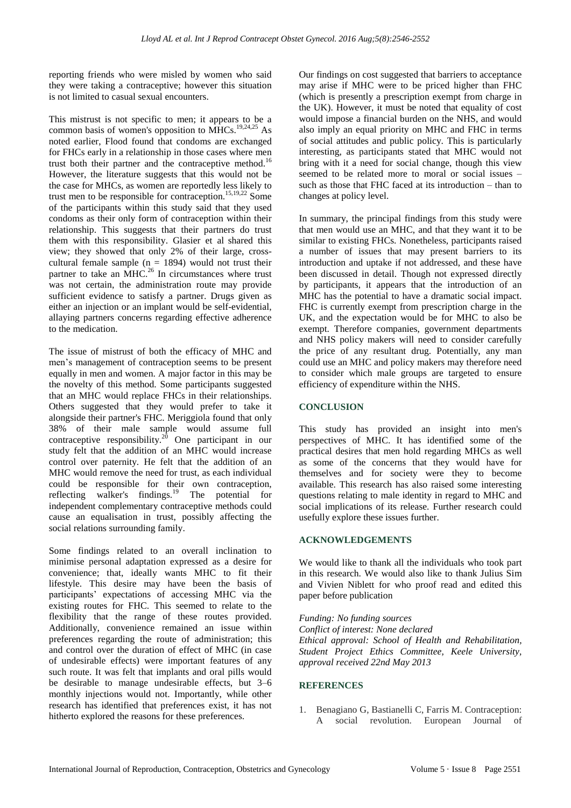reporting friends who were misled by women who said they were taking a contraceptive; however this situation is not limited to casual sexual encounters.

This mistrust is not specific to men; it appears to be a common basis of women's opposition to  $\overline{MHCs}$ .<sup>19,24,25</sup> As noted earlier, Flood found that condoms are exchanged for FHCs early in a relationship in those cases where men trust both their partner and the contraceptive method.<sup>16</sup> However, the literature suggests that this would not be the case for MHCs, as women are reportedly less likely to trust men to be responsible for contraception.15,19,22 Some of the participants within this study said that they used condoms as their only form of contraception within their relationship. This suggests that their partners do trust them with this responsibility. Glasier et al shared this view; they showed that only 2% of their large, crosscultural female sample ( $n = 1894$ ) would not trust their partner to take an MHC.<sup>26</sup> In circumstances where trust was not certain, the administration route may provide sufficient evidence to satisfy a partner. Drugs given as either an injection or an implant would be self-evidential, allaying partners concerns regarding effective adherence to the medication.

The issue of mistrust of both the efficacy of MHC and men"s management of contraception seems to be present equally in men and women. A major factor in this may be the novelty of this method. Some participants suggested that an MHC would replace FHCs in their relationships. Others suggested that they would prefer to take it alongside their partner's FHC. Meriggiola found that only 38% of their male sample would assume full contraceptive responsibility.<sup>20</sup> One participant in our study felt that the addition of an MHC would increase control over paternity. He felt that the addition of an MHC would remove the need for trust, as each individual could be responsible for their own contraception, reflecting walker's findings.<sup>19</sup> The potential for independent complementary contraceptive methods could cause an equalisation in trust, possibly affecting the social relations surrounding family.

Some findings related to an overall inclination to minimise personal adaptation expressed as a desire for convenience; that, ideally wants MHC to fit their lifestyle. This desire may have been the basis of participants" expectations of accessing MHC via the existing routes for FHC. This seemed to relate to the flexibility that the range of these routes provided. Additionally, convenience remained an issue within preferences regarding the route of administration; this and control over the duration of effect of MHC (in case of undesirable effects) were important features of any such route. It was felt that implants and oral pills would be desirable to manage undesirable effects, but 3–6 monthly injections would not. Importantly, while other research has identified that preferences exist, it has not hitherto explored the reasons for these preferences.

Our findings on cost suggested that barriers to acceptance may arise if MHC were to be priced higher than FHC (which is presently a prescription exempt from charge in the UK). However, it must be noted that equality of cost would impose a financial burden on the NHS, and would also imply an equal priority on MHC and FHC in terms of social attitudes and public policy. This is particularly interesting, as participants stated that MHC would not bring with it a need for social change, though this view seemed to be related more to moral or social issues – such as those that FHC faced at its introduction – than to changes at policy level.

In summary, the principal findings from this study were that men would use an MHC, and that they want it to be similar to existing FHCs. Nonetheless, participants raised a number of issues that may present barriers to its introduction and uptake if not addressed, and these have been discussed in detail. Though not expressed directly by participants, it appears that the introduction of an MHC has the potential to have a dramatic social impact. FHC is currently exempt from prescription charge in the UK, and the expectation would be for MHC to also be exempt. Therefore companies, government departments and NHS policy makers will need to consider carefully the price of any resultant drug. Potentially, any man could use an MHC and policy makers may therefore need to consider which male groups are targeted to ensure efficiency of expenditure within the NHS.

# **CONCLUSION**

This study has provided an insight into men's perspectives of MHC. It has identified some of the practical desires that men hold regarding MHCs as well as some of the concerns that they would have for themselves and for society were they to become available. This research has also raised some interesting questions relating to male identity in regard to MHC and social implications of its release. Further research could usefully explore these issues further.

### **ACKNOWLEDGEMENTS**

We would like to thank all the individuals who took part in this research. We would also like to thank Julius Sim and Vivien Niblett for who proof read and edited this paper before publication

*Funding: No funding sources Conflict of interest: None declared Ethical approval: School of Health and Rehabilitation, Student Project Ethics Committee, Keele University, approval received 22nd May 2013*

#### **REFERENCES**

1. Benagiano G, Bastianelli C, Farris M. Contraception: A social revolution. European Journal of